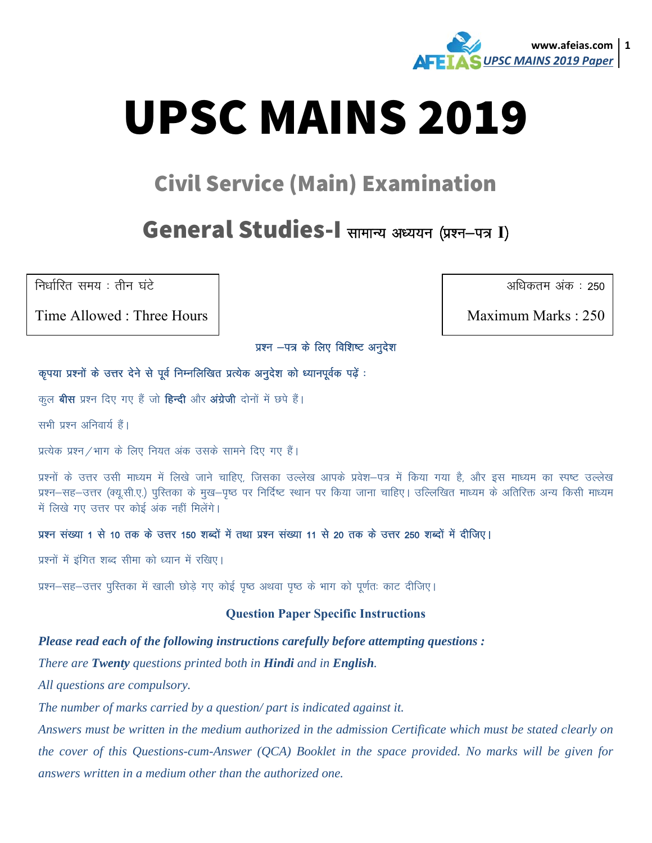

# **UPSC MAINS 2019**

## **Civil Service (Main) Examination**

### General Studies-I सामान्य अध्ययन (प्रश्न-पत्र I)

निर्धारित समय : तीन घंटे

Time Allowed: Three Hours

अधिकतम अंक : 250

Maximum Marks: 250

प्रश्न -पत्र के लिए विशिष्ट अनुदेश

#### कृपया प्रश्नों के उत्तर देने से पूर्व निम्नलिखित प्रत्येक अनुदेश को ध्यानपूर्वक पढ़ें :

कूल **बीस** प्रश्न दिए गए हैं जो **हिन्दी** और अंग्रेजी दोनों में छपे हैं।

सभी प्रश्न अनिवार्य हैं।

प्रत्येक प्रश्न / भाग के लिए नियत अंक उसके सामने दिए गए हैं।

प्रश्नों के उत्तर उसी माध्यम में लिखे जाने चाहिए. जिसका उल्लेख आपके प्रवेश–पत्र में किया गया है. और इस माध्यम का स्पष्ट उल्लेख प्रश्न–सह–उत्तर (क्यू.सी.ए.) पुस्तिका के मुख–पुष्ठ पर निर्दिष्ट स्थान पर किया जाना चाहिए। उल्लिखित माध्यम के अतिरिक्त अन्य किसी माध्यम में लिखे गए उत्तर पर कोई अंक नहीं मिलेंगे।

#### प्रश्न संख्या 1 से 10 तक के उत्तर 150 शब्दों में तथा प्रश्न संख्या 11 से 20 तक के उत्तर 250 शब्दों में दीजिए।

प्रश्नों में इंगित शब्द सीमा को ध्यान में रखिए।

प्रश्न–सह–उत्तर पुस्तिका में खाली छोड़े गए कोई पुष्ठ अथवा पुष्ठ के भाग को पूर्णतः काट दीजिए।

#### **Question Paper Specific Instructions**

#### Please read each of the following instructions carefully before attempting questions:

There are Twenty questions printed both in Hindi and in English.

All questions are compulsory.

The number of marks carried by a question/part is indicated against it.

Answers must be written in the medium authorized in the admission Certificate which must be stated clearly on the cover of this Questions-cum-Answer (QCA) Booklet in the space provided. No marks will be given for answers written in a medium other than the authorized one.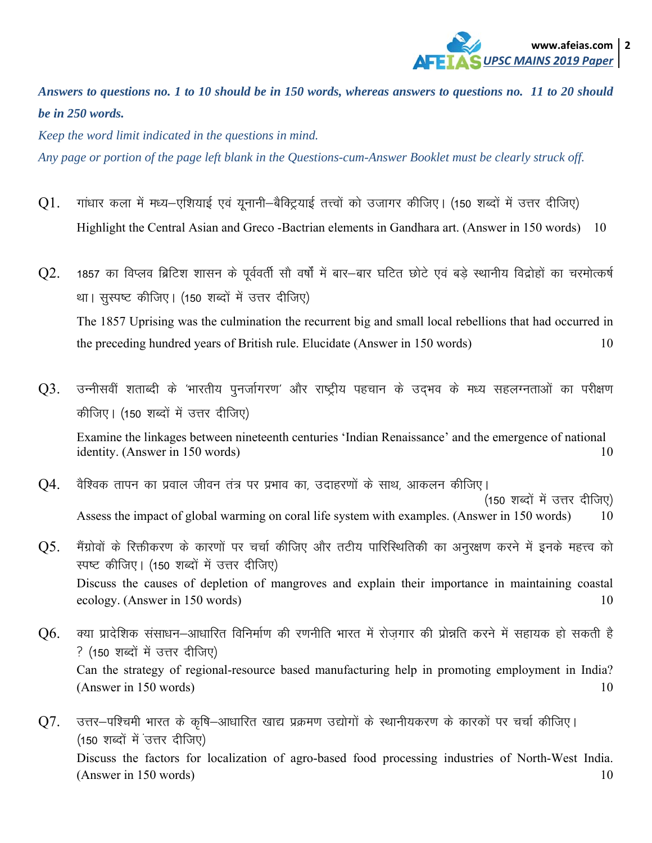

*Answers to questions no. 1 to 10 should be in 150 words, whereas answers to questions no. 11 to 20 should be in 250 words.* 

*Keep the word limit indicated in the questions in mind.* 

*Any page or portion of the page left blank in the Questions-cum-Answer Booklet must be clearly struck off.* 

- Q1. गांधार कला में मध्य-एशियाई एवं यूनानी-बैक्ट्रियाई तत्त्वों को उजागर कीजिए। (150 शब्दों में उत्तर दीजिए) Highlight the Central Asian and Greco -Bactrian elements in Gandhara art. (Answer in 150 words) 10
- Q2. 1857 का विप्लव ब्रिटिश शासन के पूर्ववर्ती सौ वर्षों में बार-बार घटित छोटे एवं बड़े स्थानीय विद्रोहों का चरमोत्कर्ष था। सुस्पष्ट कीजिए। (150 शब्दों में उत्तर दीजिए) The 1857 Uprising was the culmination the recurrent big and small local rebellions that had occurred in the preceding hundred years of British rule. Elucidate (Answer in 150 words) 10
- $Q3.$  उन्नीसवीं शताब्दी के 'भारतीय पूनर्जागरण' और राष्ट्रीय पहचान के उदमव के मध्य सहलग्नताओं का परीक्षण कीजिए। (150 शब्दों में उत्तर दीजिए) Examine the linkages between nineteenth centuries 'Indian Renaissance' and the emergence of national identity. (Answer in 150 words)  $10$
- $Q4$ . वैश्विक तापन का प्रवाल जीवन तंत्र पर प्रभाव का, उदाहरणों के साथ, आकलन कीजिए। (150 शब्दों में उत्तर दीजिए) Assess the impact of global warming on coral life system with examples. (Answer in 150 words) 10
- $Q5$ . मैंग्रोवों के रिक्तीकरण के कारणों पर चर्चा कीजिए और तटीय पारिस्थितिकी का अनुरक्षण करने में इनके महत्त्व को स्पष्ट कीजिए। (150 शब्दों में उत्तर दीजिए) Discuss the causes of depletion of mangroves and explain their importance in maintaining coastal ecology. (Answer in 150 words) 10
- $Q6$ . क्या प्रादेशिक संसाधन–आधारित विनिर्माण की रणनीति भारत में रोजगार की प्रोन्नति करने में सहायक हो सकती है ? (150 शब्दों में उत्तर दीजिए) Can the strategy of regional-resource based manufacturing help in promoting employment in India?  $(A$ nswer in 150 words) 10
- $Q7.$  उत्तर–पश्चिमी भारत के कृषि–आधारित खाद्य प्रक्रमण उद्योगों के स्थानीयकरण के कारकों पर चर्चा कीजिए। (150 शब्दों में उत्तर दीजिए) Discuss the factors for localization of agro-based food processing industries of North-West India.  $(A$ nswer in 150 words) 10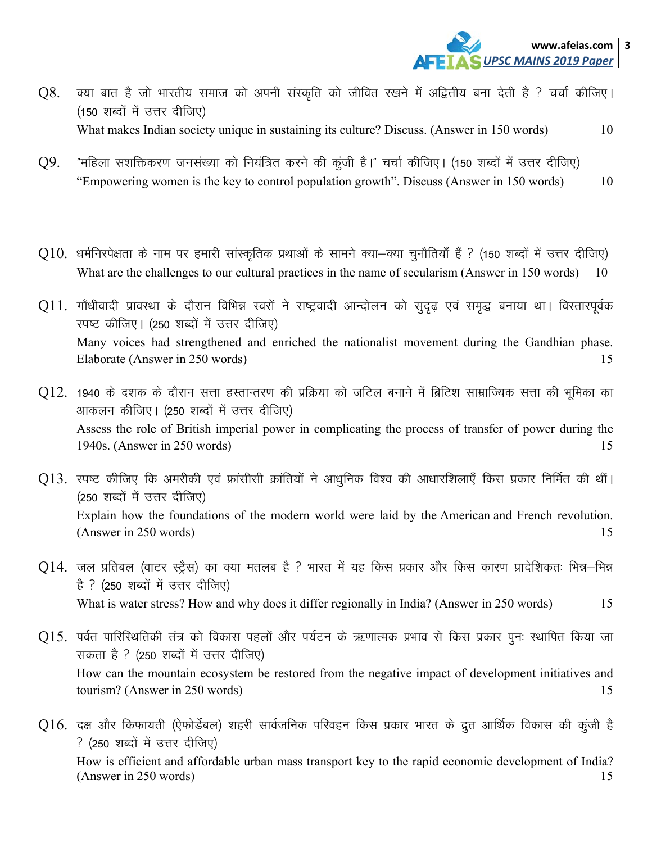

- क्या बात है जो भारतीय समाज को अपनी संस्कृति को जीवित रखने में अद्वितीय बना देती है ? चर्चा कीजिए। Q8. (150 शब्दों में उत्तर दीजिए) What makes Indian society unique in sustaining its culture? Discuss. (Answer in 150 words) 10
- "महिला सशक्तिकरण जनसंख्या को नियंत्रित करने की कूंजी है।" चर्चा कीजिए। (150 शब्दों में उत्तर दीजिए) Q9. "Empowering women is the key to control population growth". Discuss (Answer in 150 words) 10
- $Q10$ . धर्मनिरपेक्षता के नाम पर हमारी सांस्कृतिक प्रथाओं के सामने क्या—क्या चुनौतियाँ हैं ? (150 शब्दों में उत्तर दीजिए) What are the challenges to our cultural practices in the name of secularism (Answer in 150 words) 10
- Q11. गाँधीवादी प्रावस्था के दौरान विभिन्न स्वरों ने राष्ट्रवादी आन्दोलन को सुदृढ़ एवं समृद्ध बनाया था। विस्तारपूर्वक स्पष्ट कीजिए। (250 शब्दों में उत्तर दीजिए) Many voices had strengthened and enriched the nationalist movement during the Gandhian phase. Elaborate (Answer in 250 words) 15
- $Q12.$  1940 के दशक के दौरान सत्ता हस्तान्तरण की प्रक्रिया को जटिल बनाने में ब्रिटिश साम्राज्यिक सत्ता की भूमिका का आकलन कीजिए। (250 शब्दों में उत्तर दीजिए) Assess the role of British imperial power in complicating the process of transfer of power during the 1940s. (Answer in 250 words) 15
- $\rm Q13.$  स्पष्ट कीजिए कि अमरीकी एवं फ्रांसीसी क्रांतियों ने आधुनिक विश्व की आधारशिलाएँ किस प्रकार निर्मित की थीं। (250 शब्दों में उत्तर दीजिए) Explain how the foundations of the modern world were laid by the American and French revolution. (Answer in 250 words) 15
- $Q14$ . जल प्रतिबल (वाटर स्ट्रैस) का क्या मतलब है ? भारत में यह किस प्रकार और किस कारण प्रादेशिकतः भिन्न—भिन्न है ? (250 शब्दों में उत्तर दीजिए) What is water stress? How and why does it differ regionally in India? (Answer in 250 words) 15
- $Q15$ . पर्वत पारिस्थितिकी तंत्र को विकास पहलों और पर्यटन के ऋणात्मक प्रभाव से किस प्रकार पूनः स्थापित किया जा सकता है ? (250 शब्दों में उत्तर दीजिए) How can the mountain ecosystem be restored from the negative impact of development initiatives and tourism? (Answer in 250 words) 15
- $Q16$ . दक्ष और किफायती (ऐफोर्डेबल) शहरी सार्वजनिक परिवहन किस प्रकार भारत के द्रुत आर्थिक विकास की कूंजी है ? (250 शब्दों में उत्तर दीजिए) How is efficient and affordable urban mass transport key to the rapid economic development of India? (Answer in 250 words) 15